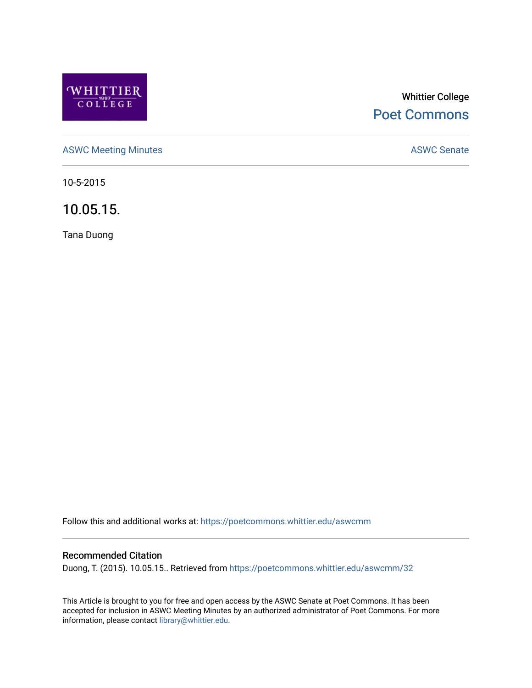

# Whittier College [Poet Commons](https://poetcommons.whittier.edu/)

[ASWC Meeting Minutes](https://poetcommons.whittier.edu/aswcmm) **ASWC Senate** 

10-5-2015

10.05.15.

Tana Duong

Follow this and additional works at: [https://poetcommons.whittier.edu/aswcmm](https://poetcommons.whittier.edu/aswcmm?utm_source=poetcommons.whittier.edu%2Faswcmm%2F32&utm_medium=PDF&utm_campaign=PDFCoverPages)

### Recommended Citation

Duong, T. (2015). 10.05.15.. Retrieved from [https://poetcommons.whittier.edu/aswcmm/32](https://poetcommons.whittier.edu/aswcmm/32?utm_source=poetcommons.whittier.edu%2Faswcmm%2F32&utm_medium=PDF&utm_campaign=PDFCoverPages) 

This Article is brought to you for free and open access by the ASWC Senate at Poet Commons. It has been accepted for inclusion in ASWC Meeting Minutes by an authorized administrator of Poet Commons. For more information, please contact [library@whittier.edu.](mailto:library@whittier.edu)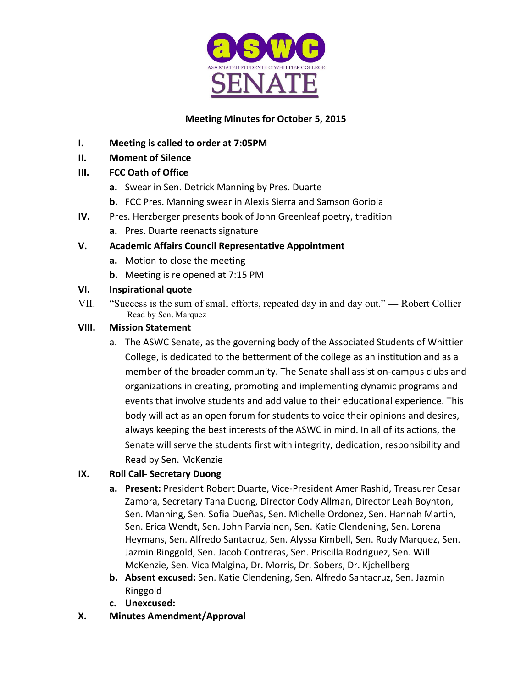

# **Meeting Minutes for October 5, 2015**

- **I.** Meeting is called to order at 7:05PM
- **II. Moment of Silence**

## **III. FCC** Oath of Office

- **a.** Swear in Sen. Detrick Manning by Pres. Duarte
- **b.** FCC Pres. Manning swear in Alexis Sierra and Samson Goriola
- **IV.** Pres. Herzberger presents book of John Greenleaf poetry, tradition
	- **a.** Pres. Duarte reenacts signature

# **V. Academic Affairs Council Representative Appointment**

- **a.** Motion to close the meeting
- **b.** Meeting is re opened at 7:15 PM

# **VI. Inspirational quote**

VII. "Success is the sum of small efforts, repeated day in and day out." ― Robert Collier Read by Sen. Marquez

## **VIII. Mission Statement**

a. The ASWC Senate, as the governing body of the Associated Students of Whittier College, is dedicated to the betterment of the college as an institution and as a member of the broader community. The Senate shall assist on-campus clubs and organizations in creating, promoting and implementing dynamic programs and events that involve students and add value to their educational experience. This body will act as an open forum for students to voice their opinions and desires, always keeping the best interests of the ASWC in mind. In all of its actions, the Senate will serve the students first with integrity, dedication, responsibility and Read by Sen. McKenzie 

## **IX. Roll Call- Secretary Duong**

- **a.** Present: President Robert Duarte, Vice-President Amer Rashid, Treasurer Cesar Zamora, Secretary Tana Duong, Director Cody Allman, Director Leah Boynton, Sen. Manning, Sen. Sofia Dueñas, Sen. Michelle Ordonez, Sen. Hannah Martin, Sen. Erica Wendt, Sen. John Parviainen, Sen. Katie Clendening, Sen. Lorena Heymans, Sen. Alfredo Santacruz, Sen. Alyssa Kimbell, Sen. Rudy Marquez, Sen. Jazmin Ringgold, Sen. Jacob Contreras, Sen. Priscilla Rodriguez, Sen. Will McKenzie, Sen. Vica Malgina, Dr. Morris, Dr. Sobers, Dr. Kjchellberg
- **b.** Absent excused: Sen. Katie Clendening, Sen. Alfredo Santacruz, Sen. Jazmin Ringgold
- **c. Unexcused:**
- **X. Minutes Amendment/Approval**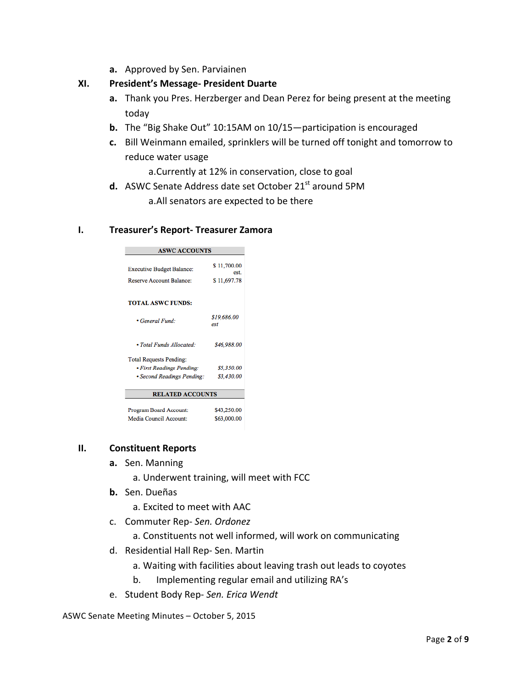**a.** Approved by Sen. Parviainen

### **XI. President's Message- President Duarte**

- **a.** Thank you Pres. Herzberger and Dean Perez for being present at the meeting today
- **b.** The "Big Shake Out" 10:15AM on 10/15—participation is encouraged
- **c.** Bill Weinmann emailed, sprinklers will be turned off tonight and tomorrow to reduce water usage

a.Currently at 12% in conservation, close to goal

**d.** ASWC Senate Address date set October 21<sup>st</sup> around 5PM a. All senators are expected to be there

### **I. Treasurer's Report- Treasurer Zamora**

| <b>ASWC ACCOUNTS</b>             |                     |
|----------------------------------|---------------------|
| <b>Executive Budget Balance:</b> | \$11,700.00<br>est. |
| <b>Reserve Account Balance:</b>  | \$11,697.78         |
| <b>TOTAL ASWC FUNDS:</b>         |                     |
| • General Fund:                  | \$19,686.00<br>est  |
| • Total Funds Allocated:         | \$46,988.00         |
| <b>Total Requests Pending:</b>   |                     |
| • First Readings Pending:        | \$5,350.00          |
| • Second Readings Pending:       | \$3,430.00          |
| <b>RELATED ACCOUNTS</b>          |                     |
| Program Board Account:           | \$43,250.00         |

Program Board Account: \$63,000.00 Media Council Account:

#### **II. Constituent Reports**

**a.** Sen. Manning

a. Underwent training, will meet with FCC

**b.** Sen. Dueñas

a. Excited to meet with AAC

c. Commuter Rep- *Sen. Ordonez* 

a. Constituents not well informed, will work on communicating

- d. Residential Hall Rep- Sen. Martin
	- a. Waiting with facilities about leaving trash out leads to coyotes
	- b. Implementing regular email and utilizing RA's
- e. Student Body Rep- *Sen. Erica Wendt*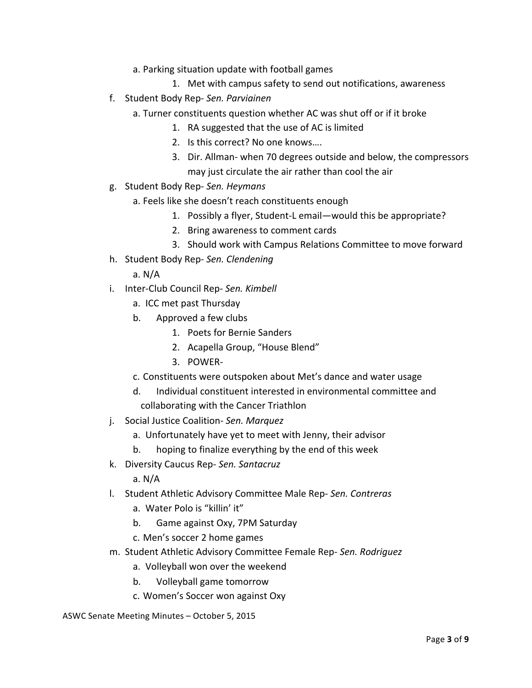- a. Parking situation update with football games
	- 1. Met with campus safety to send out notifications, awareness
- f. Student Body Rep- *Sen. Parviainen*
	- a. Turner constituents question whether AC was shut off or if it broke
		- 1. RA suggested that the use of AC is limited
		- 2. Is this correct? No one knows....
		- 3. Dir. Allman- when 70 degrees outside and below, the compressors may just circulate the air rather than cool the air
- g. Student Body Rep- *Sen. Heymans*
	- a. Feels like she doesn't reach constituents enough
		- 1. Possibly a flyer, Student-L email—would this be appropriate?
		- 2. Bring awareness to comment cards
		- 3. Should work with Campus Relations Committee to move forward
- h. Student Body Rep- *Sen. Clendening*
	- a. N/A
- i. Inter-Club Council Rep- Sen. Kimbell
	- a. ICC met past Thursday
	- b. Approved a few clubs
		- 1. Poets for Bernie Sanders
		- 2. Acapella Group, "House Blend"
		- 3. POWER-
	- c. Constituents were outspoken about Met's dance and water usage
	- d. Individual constituent interested in environmental committee and collaborating with the Cancer Triathlon
- j. Social Justice Coalition- Sen. Marquez
	- a. Unfortunately have yet to meet with Jenny, their advisor
	- b. hoping to finalize everything by the end of this week
- k. Diversity Caucus Rep- *Sen. Santacruz* a. N/A
- l. Student Athletic Advisory Committee Male Rep- *Sen. Contreras*
	- a. Water Polo is "killin' it"
	- b. Game against Oxy, 7PM Saturday
	- c. Men's soccer 2 home games
- m. Student Athletic Advisory Committee Female Rep- Sen. Rodriguez
	- a. Volleyball won over the weekend
	- b. Volleyball game tomorrow
	- c. Women's Soccer won against Oxy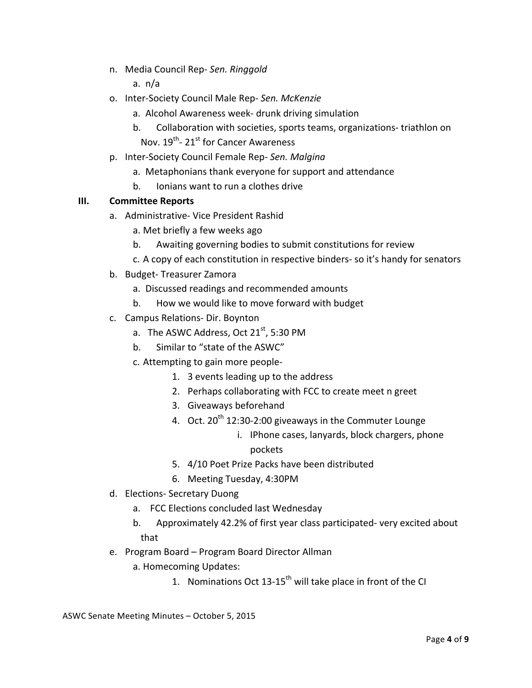n. Media Council Rep- Sen. Ringgold

a. n/a

- o. Inter-Society Council Male Rep- *Sen. McKenzie*
	- a. Alcohol Awareness week- drunk driving simulation
	- b. Collaboration with societies, sports teams, organizations- triathlon on Nov. 19<sup>th</sup>- 21<sup>st</sup> for Cancer Awareness
- p. Inter-Society Council Female Rep- *Sen. Malgina*
	- a. Metaphonians thank everyone for support and attendance
	- b. Ionians want to run a clothes drive

### **III. Committee Reports**

- a. Administrative- Vice President Rashid
	- a. Met briefly a few weeks ago
	- b. Awaiting governing bodies to submit constitutions for review
	- c. A copy of each constitution in respective binders- so it's handy for senators
- b. Budget- Treasurer Zamora
	- a. Discussed readings and recommended amounts
	- b. How we would like to move forward with budget
- c. Campus Relations- Dir. Boynton
	- a. The ASWC Address, Oct  $21<sup>st</sup>$ , 5:30 PM
	- b. Similar to "state of the ASWC"
	- c. Attempting to gain more people-
		- 1. 3 events leading up to the address
		- 2. Perhaps collaborating with FCC to create meet n greet
		- 3. Giveaways beforehand
		- 4. Oct.  $20^{th}$  12:30-2:00 giveaways in the Commuter Lounge
			- i. IPhone cases, lanyards, block chargers, phone pockets
		- 5. 4/10 Poet Prize Packs have been distributed
		- 6. Meeting Tuesday, 4:30PM
- d. Elections- Secretary Duong
	- a. FCC Elections concluded last Wednesday
	- b. Approximately 42.2% of first year class participated- very excited about that
- e. Program Board Program Board Director Allman
	- a. Homecoming Updates:
		- 1. Nominations Oct  $13{\text -}15^{\text{th}}$  will take place in front of the CI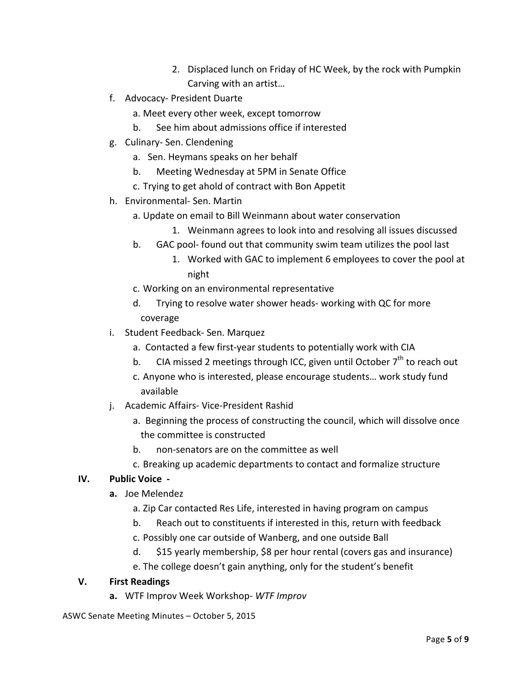- 2. Displaced lunch on Friday of HC Week, by the rock with Pumpkin Carving with an artist...
- f. Advocacy- President Duarte
	- a. Meet every other week, except tomorrow
	- b. See him about admissions office if interested
- g. Culinary-Sen. Clendening
	- a. Sen. Heymans speaks on her behalf
	- b. Meeting Wednesday at 5PM in Senate Office
	- c. Trying to get ahold of contract with Bon Appetit
- h. Environmental- Sen. Martin
	- a. Update on email to Bill Weinmann about water conservation
		- 1. Weinmann agrees to look into and resolving all issues discussed
	- b. GAC pool- found out that community swim team utilizes the pool last
		- 1. Worked with GAC to implement 6 employees to cover the pool at night
	- c. Working on an environmental representative
	- d. Trying to resolve water shower heads- working with QC for more coverage
- i. Student Feedback- Sen. Marquez
	- a. Contacted a few first-year students to potentially work with CIA
	- b. CIA missed 2 meetings through ICC, given until October  $7<sup>th</sup>$  to reach out
	- c. Anyone who is interested, please encourage students... work study fund available
- i. Academic Affairs- Vice-President Rashid
	- a. Beginning the process of constructing the council, which will dissolve once the committee is constructed
	- b. non-senators are on the committee as well
	- c. Breaking up academic departments to contact and formalize structure

# **IV. Public Voice** -

- **a.** Joe Melendez
	- a. Zip Car contacted Res Life, interested in having program on campus
	- b. Reach out to constituents if interested in this, return with feedback
	- c. Possibly one car outside of Wanberg, and one outside Ball
	- d. \$15 yearly membership, \$8 per hour rental (covers gas and insurance)
	- e. The college doesn't gain anything, only for the student's benefit

# **V. First Readings**

**a.** WTF Improv Week Workshop- WTF Improv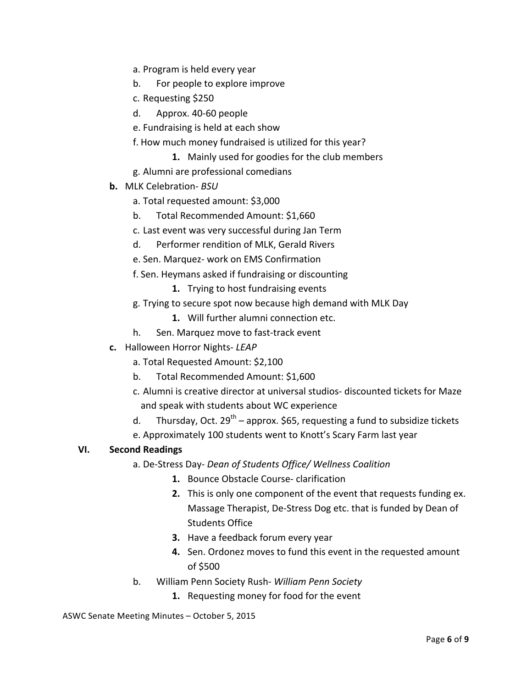- a. Program is held every year
- b. For people to explore improve
- c. Requesting \$250
- d. Approx. 40-60 people
- e. Fundraising is held at each show
- f. How much money fundraised is utilized for this year?
	- **1.** Mainly used for goodies for the club members
- g. Alumni are professional comedians
- **b.** MLK Celebration- *BSU* 
	- a. Total requested amount: \$3,000
	- b. Total Recommended Amount: \$1,660
	- c. Last event was very successful during Jan Term
	- d. Performer rendition of MLK, Gerald Rivers
	- e. Sen. Marquez- work on EMS Confirmation
	- f. Sen. Heymans asked if fundraising or discounting
		- **1.** Trying to host fundraising events
	- g. Trying to secure spot now because high demand with MLK Day
		- **1.** Will further alumni connection etc.
	- h. Sen. Marquez move to fast-track event
- **c.** Halloween Horror Nights- LEAP
	- a. Total Requested Amount: \$2,100
	- b. Total Recommended Amount: \$1,600
	- c. Alumni is creative director at universal studios- discounted tickets for Maze and speak with students about WC experience
	- d. Thursday, Oct.  $29^{th}$  approx. \$65, requesting a fund to subsidize tickets e. Approximately 100 students went to Knott's Scary Farm last year

### **VI. Second Readings**

- a. De-Stress Day- *Dean of Students Office/ Wellness Coalition*
	- **1.** Bounce Obstacle Course- clarification
	- **2.** This is only one component of the event that requests funding ex. Massage Therapist, De-Stress Dog etc. that is funded by Dean of Students Office
	- **3.** Have a feedback forum every year
	- **4.** Sen. Ordonez moves to fund this event in the requested amount of \$500
- b. William Penn Society Rush- *William Penn Society* 
	- **1.** Requesting money for food for the event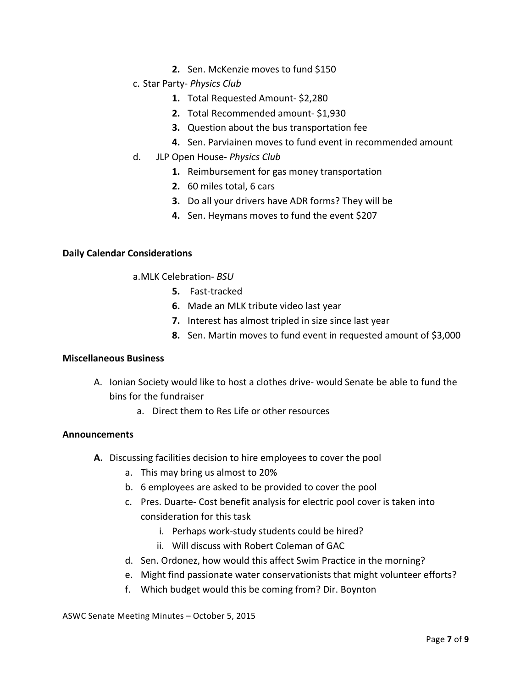- **2.** Sen. McKenzie moves to fund \$150
- c. Star Party- *Physics Club*
	- **1.** Total Requested Amount-\$2,280
	- **2.** Total Recommended amount-\$1,930
	- **3.** Question about the bus transportation fee
	- **4.** Sen. Parviainen moves to fund event in recommended amount
- d. JLP Open House- Physics Club
	- **1.** Reimbursement for gas money transportation
	- **2.** 60 miles total, 6 cars
	- **3.** Do all your drivers have ADR forms? They will be
	- **4.** Sen. Heymans moves to fund the event \$207

#### **Daily Calendar Considerations**

a.MLK Celebration- *BSU* 

- **5.** Fast-tracked
- **6.** Made an MLK tribute video last year
- **7.** Interest has almost tripled in size since last year
- **8.** Sen. Martin moves to fund event in requested amount of \$3,000

#### **Miscellaneous Business**

- A. Ionian Society would like to host a clothes drive- would Senate be able to fund the bins for the fundraiser
	- a. Direct them to Res Life or other resources

### **Announcements**

- A. Discussing facilities decision to hire employees to cover the pool
	- a. This may bring us almost to 20%
	- b. 6 employees are asked to be provided to cover the pool
	- c. Pres. Duarte- Cost benefit analysis for electric pool cover is taken into consideration for this task
		- i. Perhaps work-study students could be hired?
		- ii. Will discuss with Robert Coleman of GAC
	- d. Sen. Ordonez, how would this affect Swim Practice in the morning?
	- e. Might find passionate water conservationists that might volunteer efforts?
	- f. Which budget would this be coming from? Dir. Boynton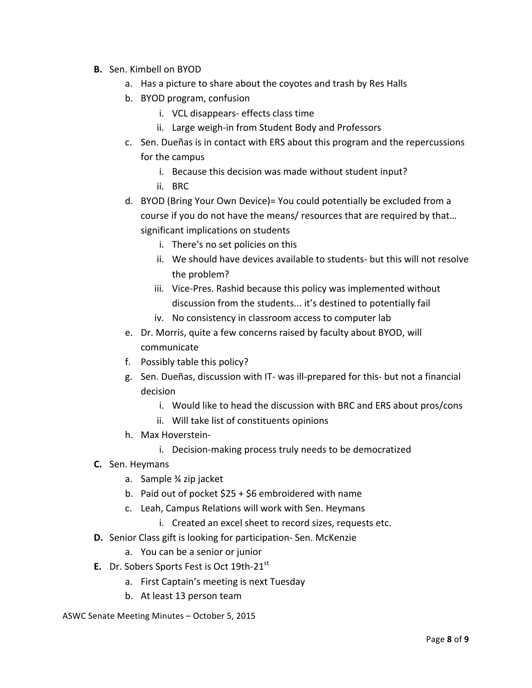- **B.** Sen. Kimbell on BYOD
	- a. Has a picture to share about the coyotes and trash by Res Halls
	- b. BYOD program, confusion
		- i. VCL disappears- effects class time
		- ii. Large weigh-in from Student Body and Professors
	- c. Sen. Dueñas is in contact with ERS about this program and the repercussions for the campus
		- i. Because this decision was made without student input?
		- ii. BRC
	- d. BYOD (Bring Your Own Device)= You could potentially be excluded from a course if you do not have the means/ resources that are required by that... significant implications on students
		- i. There's no set policies on this
		- ii. We should have devices available to students- but this will not resolve the problem?
		- iii. Vice-Pres. Rashid because this policy was implemented without discussion from the students... it's destined to potentially fail
		- iv. No consistency in classroom access to computer lab
	- e. Dr. Morris, quite a few concerns raised by faculty about BYOD, will communicate
	- f. Possibly table this policy?
	- g. Sen. Dueñas, discussion with IT- was ill-prepared for this- but not a financial decision
		- i. Would like to head the discussion with BRC and ERS about pros/cons
		- ii. Will take list of constituents opinions
	- h. Max Hoverstein
		- i. Decision-making process truly needs to be democratized
- **C.** Sen. Heymans
	- a. Sample % zip jacket
	- b. Paid out of pocket  $$25 + $6$  embroidered with name
	- c. Leah, Campus Relations will work with Sen. Heymans
		- i. Created an excel sheet to record sizes, requests etc.
- **D.** Senior Class gift is looking for participation- Sen. McKenzie
	- a. You can be a senior or junior
- **E.** Dr. Sobers Sports Fest is Oct 19th-21<sup>st</sup>
	- a. First Captain's meeting is next Tuesday
	- b. At least 13 person team